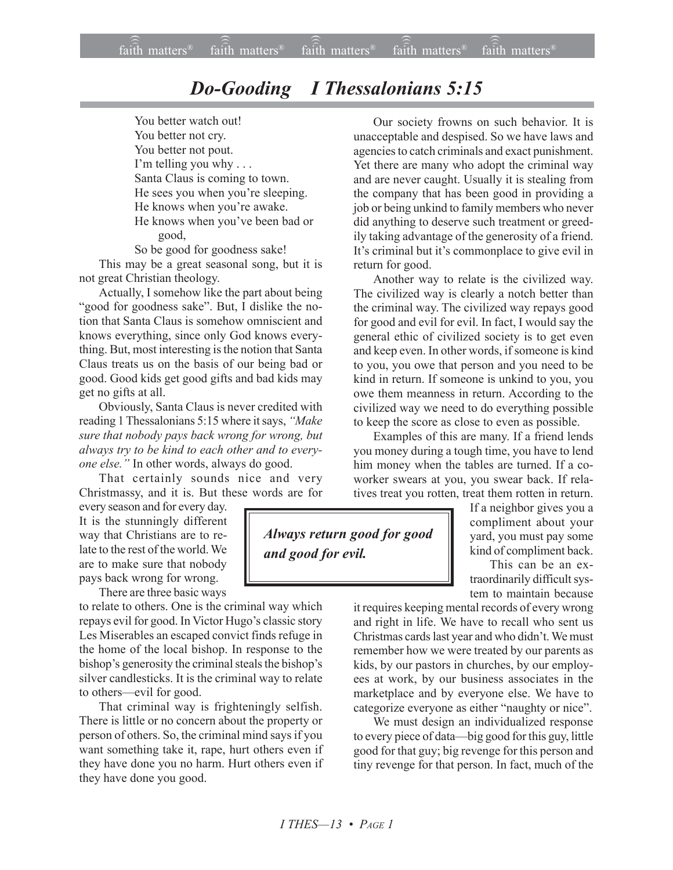## *Do-Gooding I Thessalonians 5:15*

You better watch out! You better not cry. You better not pout. I'm telling you why . . . Santa Claus is coming to town. He sees you when you're sleeping. He knows when you're awake. He knows when you've been bad or good,

So be good for goodness sake!

This may be a great seasonal song, but it is not great Christian theology.

Actually, I somehow like the part about being "good for goodness sake". But, I dislike the notion that Santa Claus is somehow omniscient and knows everything, since only God knows everything. But, most interesting is the notion that Santa Claus treats us on the basis of our being bad or good. Good kids get good gifts and bad kids may get no gifts at all.

Obviously, Santa Claus is never credited with reading 1 Thessalonians 5:15 where it says, "Make *sure that nobody pays back wrong for wrong, but always try to be kind to each other and to everyone else.î* In other words, always do good.

That certainly sounds nice and very Christmassy, and it is. But these words are for

every season and for every day. It is the stunningly different way that Christians are to relate to the rest of the world. We are to make sure that nobody pays back wrong for wrong.

There are three basic ways

to relate to others. One is the criminal way which repays evil for good. In Victor Hugo's classic story Les Miserables an escaped convict finds refuge in the home of the local bishop. In response to the bishop's generosity the criminal steals the bishop's silver candlesticks. It is the criminal way to relate to others—evil for good.

That criminal way is frighteningly selfish. There is little or no concern about the property or person of others. So, the criminal mind says if you want something take it, rape, hurt others even if they have done you no harm. Hurt others even if they have done you good.

Our society frowns on such behavior. It is unacceptable and despised. So we have laws and agencies to catch criminals and exact punishment. Yet there are many who adopt the criminal way and are never caught. Usually it is stealing from the company that has been good in providing a job or being unkind to family members who never did anything to deserve such treatment or greedily taking advantage of the generosity of a friend. It's criminal but it's commonplace to give evil in return for good.

Another way to relate is the civilized way. The civilized way is clearly a notch better than the criminal way. The civilized way repays good for good and evil for evil. In fact, I would say the general ethic of civilized society is to get even and keep even. In other words, if someone is kind to you, you owe that person and you need to be kind in return. If someone is unkind to you, you owe them meanness in return. According to the civilized way we need to do everything possible to keep the score as close to even as possible.

Examples of this are many. If a friend lends you money during a tough time, you have to lend him money when the tables are turned. If a coworker swears at you, you swear back. If relatives treat you rotten, treat them rotten in return.

*Always return good for good and good for evil.*

If a neighbor gives you a compliment about your yard, you must pay some kind of compliment back.

This can be an extraordinarily difficult system to maintain because

it requires keeping mental records of every wrong and right in life. We have to recall who sent us Christmas cards last year and who didn't. We must remember how we were treated by our parents as kids, by our pastors in churches, by our employees at work, by our business associates in the marketplace and by everyone else. We have to categorize everyone as either "naughty or nice".

We must design an individualized response to every piece of data—big good for this guy, little good for that guy; big revenge for this person and tiny revenge for that person. In fact, much of the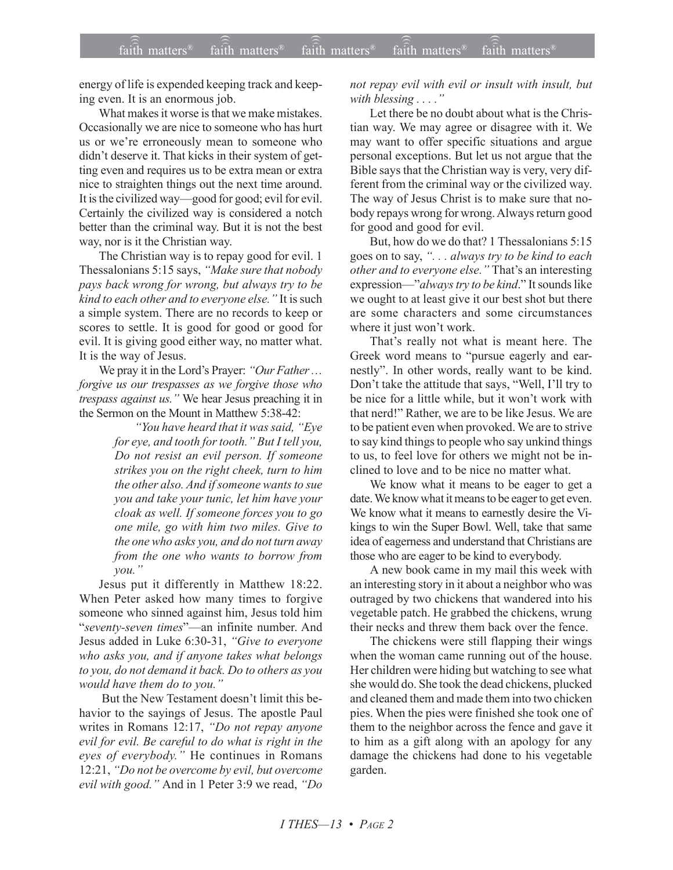energy of life is expended keeping track and keeping even. It is an enormous job.

What makes it worse is that we make mistakes. Occasionally we are nice to someone who has hurt us or we're erroneously mean to someone who didn't deserve it. That kicks in their system of getting even and requires us to be extra mean or extra nice to straighten things out the next time around. It is the civilized way—good for good; evil for evil. Certainly the civilized way is considered a notch better than the criminal way. But it is not the best way, nor is it the Christian way.

The Christian way is to repay good for evil. 1 Thessalonians 5:15 says, "Make sure that nobody" *pays back wrong for wrong, but always try to be kind to each other and to everyone else.*" It is such a simple system. There are no records to keep or scores to settle. It is good for good or good for evil. It is giving good either way, no matter what. It is the way of Jesus.

We pray it in the Lord's Prayer: "Our Father ... *forgive us our trespasses as we forgive those who trespass against us.*" We hear Jesus preaching it in the Sermon on the Mount in Matthew 5:38-42:

> *ìYou have heard that it was said, ìEye for eye, and tooth for tooth.î But I tell you, Do not resist an evil person. If someone strikes you on the right cheek, turn to him the other also. And if someone wants to sue you and take your tunic, let him have your cloak as well. If someone forces you to go one mile, go with him two miles. Give to the one who asks you, and do not turn away from the one who wants to borrow from*  $you.$

Jesus put it differently in Matthew 18:22. When Peter asked how many times to forgive someone who sinned against him, Jesus told him *i*seventy-seven times"—an infinite number. And Jesus added in Luke 6:30-31, "Give to everyone *who asks you, and if anyone takes what belongs to you, do not demand it back. Do to others as you would have them do to you.*"

But the New Testament doesn't limit this behavior to the sayings of Jesus. The apostle Paul writes in Romans 12:17, "Do not repay anyone *evil for evil. Be careful to do what is right in the* eyes of everybody." He continues in Romans 12:21, *ìDo not be overcome by evil, but overcome evil with good.*" And in 1 Peter 3:9 we read, "Do *not repay evil with evil or insult with insult, but with blessing ....*"

Let there be no doubt about what is the Christian way. We may agree or disagree with it. We may want to offer specific situations and argue personal exceptions. But let us not argue that the Bible says that the Christian way is very, very different from the criminal way or the civilized way. The way of Jesus Christ is to make sure that nobody repays wrong for wrong. Always return good for good and good for evil.

But, how do we do that? 1 Thessalonians 5:15 goes on to say, *ì. . . always try to be kind to each* other and to everyone else.<sup>"</sup> That's an interesting expression—"always try to be kind." It sounds like we ought to at least give it our best shot but there are some characters and some circumstances where it just won't work.

That's really not what is meant here. The Greek word means to "pursue eagerly and earnestly". In other words, really want to be kind. Don't take the attitude that says, "Well, I'll try to be nice for a little while, but it won't work with that nerd!" Rather, we are to be like Jesus. We are to be patient even when provoked. We are to strive to say kind things to people who say unkind things to us, to feel love for others we might not be inclined to love and to be nice no matter what.

We know what it means to be eager to get a date. We know what it means to be eager to get even. We know what it means to earnestly desire the Vikings to win the Super Bowl. Well, take that same idea of eagerness and understand that Christians are those who are eager to be kind to everybody.

A new book came in my mail this week with an interesting story in it about a neighbor who was outraged by two chickens that wandered into his vegetable patch. He grabbed the chickens, wrung their necks and threw them back over the fence.

The chickens were still flapping their wings when the woman came running out of the house. Her children were hiding but watching to see what she would do. She took the dead chickens, plucked and cleaned them and made them into two chicken pies. When the pies were finished she took one of them to the neighbor across the fence and gave it to him as a gift along with an apology for any damage the chickens had done to his vegetable garden.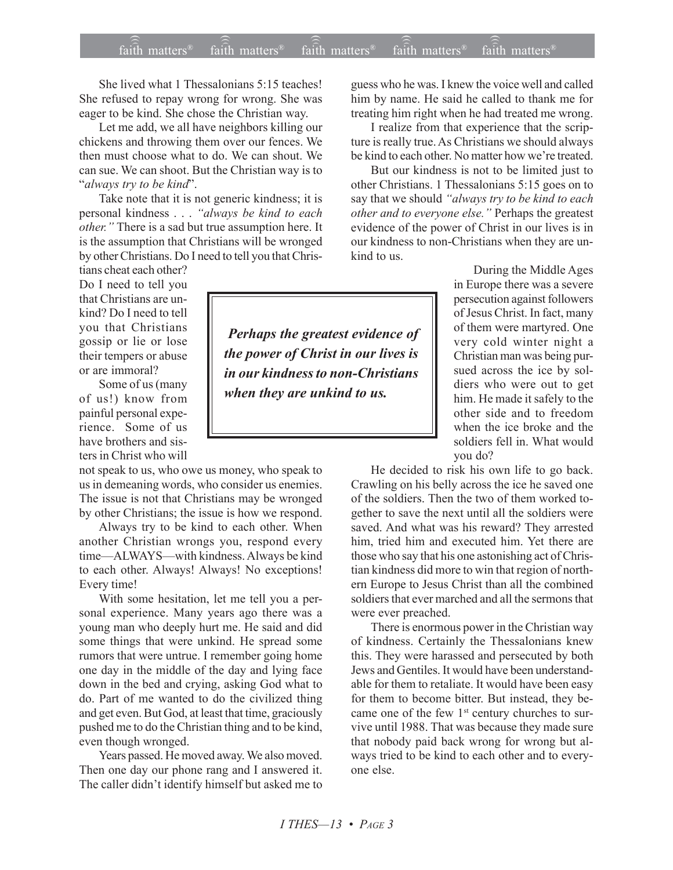## $\widehat{\widehat{\mathfrak{tair}}}$  matters  $^{\circ}$  faith matters faith matters  $^{\circ}$  faith matters faith matters  $^{\circ}$  $f$ aith matters<sup>®</sup> faith matters<sup>®</sup> faith matters<sup>®</sup>

She lived what 1 Thessalonians 5:15 teaches! She refused to repay wrong for wrong. She was eager to be kind. She chose the Christian way.

Let me add, we all have neighbors killing our chickens and throwing them over our fences. We then must choose what to do. We can shout. We can sue. We can shoot. But the Christian way is to ì*always try to be kind*î.

Take note that it is not generic kindness; it is personal kindness . . . *ìalways be kind to each other.*" There is a sad but true assumption here. It is the assumption that Christians will be wronged by other Christians. Do I need to tell you that Chris-

tians cheat each other? Do I need to tell you that Christians are unkind? Do I need to tell you that Christians gossip or lie or lose their tempers or abuse or are immoral?

Some of us (many of us!) know from painful personal experience. Some of us have brothers and sisters in Christ who will

not speak to us, who owe us money, who speak to us in demeaning words, who consider us enemies. The issue is not that Christians may be wronged by other Christians; the issue is how we respond.

Always try to be kind to each other. When another Christian wrongs you, respond every time-ALWAYS-with kindness. Always be kind to each other. Always! Always! No exceptions! Every time!

With some hesitation, let me tell you a personal experience. Many years ago there was a young man who deeply hurt me. He said and did some things that were unkind. He spread some rumors that were untrue. I remember going home one day in the middle of the day and lying face down in the bed and crying, asking God what to do. Part of me wanted to do the civilized thing and get even. But God, at least that time, graciously pushed me to do the Christian thing and to be kind, even though wronged.

Years passed. He moved away. We also moved. Then one day our phone rang and I answered it. The caller didn't identify himself but asked me to

 *Perhaps the greatest evidence of the power of Christ in our lives is in our kindness to non-Christians when they are unkind to us.*

guess who he was. I knew the voice well and called him by name. He said he called to thank me for treating him right when he had treated me wrong.

I realize from that experience that the scripture is really true. As Christians we should always be kind to each other. No matter how we're treated.

But our kindness is not to be limited just to other Christians. 1 Thessalonians 5:15 goes on to say that we should "always try to be kind to each *other and to everyone else.*" Perhaps the greatest evidence of the power of Christ in our lives is in our kindness to non-Christians when they are unkind to us.

> During the Middle Ages in Europe there was a severe persecution against followers of Jesus Christ. In fact, many of them were martyred. One very cold winter night a Christian man was being pursued across the ice by soldiers who were out to get him. He made it safely to the other side and to freedom when the ice broke and the soldiers fell in. What would you do?

He decided to risk his own life to go back. Crawling on his belly across the ice he saved one of the soldiers. Then the two of them worked together to save the next until all the soldiers were saved. And what was his reward? They arrested him, tried him and executed him. Yet there are those who say that his one astonishing act of Christian kindness did more to win that region of northern Europe to Jesus Christ than all the combined soldiers that ever marched and all the sermons that were ever preached.

There is enormous power in the Christian way of kindness. Certainly the Thessalonians knew this. They were harassed and persecuted by both Jews and Gentiles. It would have been understandable for them to retaliate. It would have been easy for them to become bitter. But instead, they became one of the few 1<sup>st</sup> century churches to survive until 1988. That was because they made sure that nobody paid back wrong for wrong but always tried to be kind to each other and to everyone else.